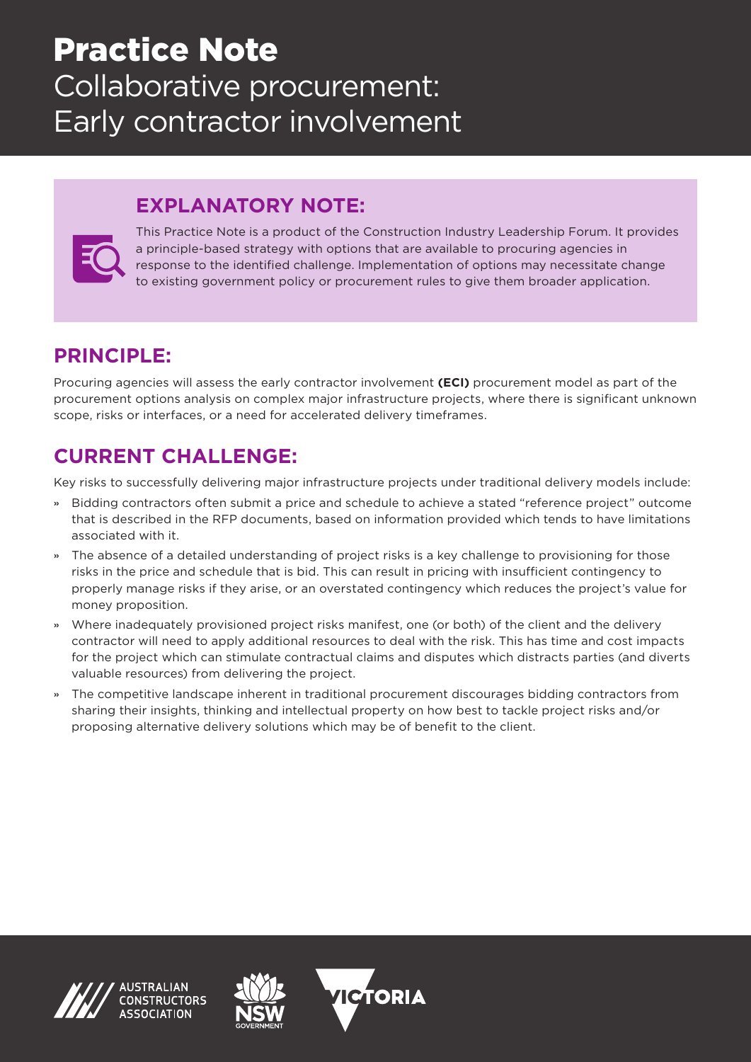# Practice Note Collaborative procurement: Early contractor involvement

## **EXPLANATORY NOTE:**



This Practice Note is a product of the Construction Industry Leadership Forum. It provides a principle-based strategy with options that are available to procuring agencies in response to the identified challenge. Implementation of options may necessitate change to existing government policy or procurement rules to give them broader application.

# **PRINCIPLE:**

Procuring agencies will assess the early contractor involvement **(ECI)** procurement model as part of the procurement options analysis on complex major infrastructure projects, where there is significant unknown scope, risks or interfaces, or a need for accelerated delivery timeframes.

### **CURRENT CHALLENGE:**

Key risks to successfully delivering major infrastructure projects under traditional delivery models include:

- » Bidding contractors often submit a price and schedule to achieve a stated "reference project" outcome that is described in the RFP documents, based on information provided which tends to have limitations associated with it.
- » The absence of a detailed understanding of project risks is a key challenge to provisioning for those risks in the price and schedule that is bid. This can result in pricing with insufficient contingency to properly manage risks if they arise, or an overstated contingency which reduces the project's value for money proposition.
- » Where inadequately provisioned project risks manifest, one (or both) of the client and the delivery contractor will need to apply additional resources to deal with the risk. This has time and cost impacts for the project which can stimulate contractual claims and disputes which distracts parties (and diverts valuable resources) from delivering the project.
- » The competitive landscape inherent in traditional procurement discourages bidding contractors from sharing their insights, thinking and intellectual property on how best to tackle project risks and/or proposing alternative delivery solutions which may be of benefit to the client.





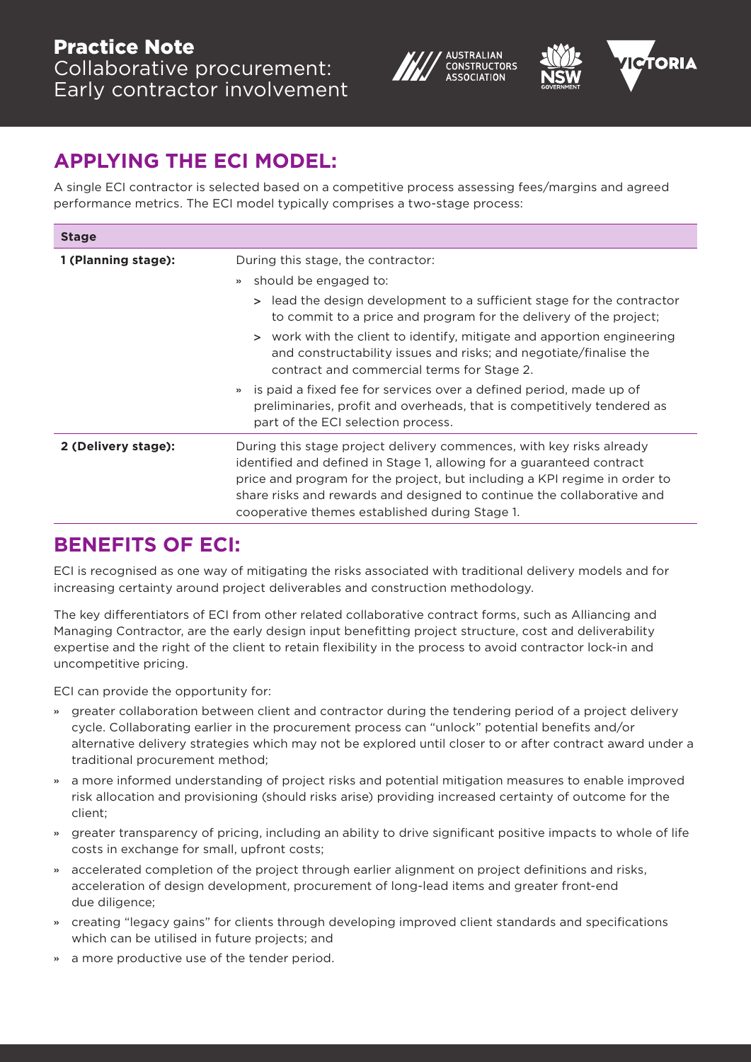





## **APPLYING THE ECI MODEL:**

A single ECI contractor is selected based on a competitive process assessing fees/margins and agreed performance metrics. The ECI model typically comprises a two-stage process:

| <b>Stage</b>        |                                                                                                                                                                                                                                                                                                                                                                                                           |
|---------------------|-----------------------------------------------------------------------------------------------------------------------------------------------------------------------------------------------------------------------------------------------------------------------------------------------------------------------------------------------------------------------------------------------------------|
| 1 (Planning stage): | During this stage, the contractor:<br>» should be engaged to:<br>> lead the design development to a sufficient stage for the contractor<br>to commit to a price and program for the delivery of the project;<br>> work with the client to identify, mitigate and apportion engineering<br>and constructability issues and risks; and negotiate/finalise the<br>contract and commercial terms for Stage 2. |
|                     | » is paid a fixed fee for services over a defined period, made up of<br>preliminaries, profit and overheads, that is competitively tendered as<br>part of the ECI selection process.                                                                                                                                                                                                                      |
| 2 (Delivery stage): | During this stage project delivery commences, with key risks already<br>identified and defined in Stage 1, allowing for a guaranteed contract<br>price and program for the project, but including a KPI regime in order to<br>share risks and rewards and designed to continue the collaborative and<br>cooperative themes established during Stage 1.                                                    |

### **BENEFITS OF ECI:**

ECI is recognised as one way of mitigating the risks associated with traditional delivery models and for increasing certainty around project deliverables and construction methodology.

The key differentiators of ECI from other related collaborative contract forms, such as Alliancing and Managing Contractor, are the early design input benefitting project structure, cost and deliverability expertise and the right of the client to retain flexibility in the process to avoid contractor lock-in and uncompetitive pricing.

ECI can provide the opportunity for:

- » greater collaboration between client and contractor during the tendering period of a project delivery cycle. Collaborating earlier in the procurement process can "unlock" potential benefits and/or alternative delivery strategies which may not be explored until closer to or after contract award under a traditional procurement method;
- » a more informed understanding of project risks and potential mitigation measures to enable improved risk allocation and provisioning (should risks arise) providing increased certainty of outcome for the client;
- » greater transparency of pricing, including an ability to drive significant positive impacts to whole of life costs in exchange for small, upfront costs;
- » accelerated completion of the project through earlier alignment on project definitions and risks, acceleration of design development, procurement of long-lead items and greater front-end due diligence;
- » creating "legacy gains" for clients through developing improved client standards and specifications which can be utilised in future projects; and
- a more productive use of the tender period.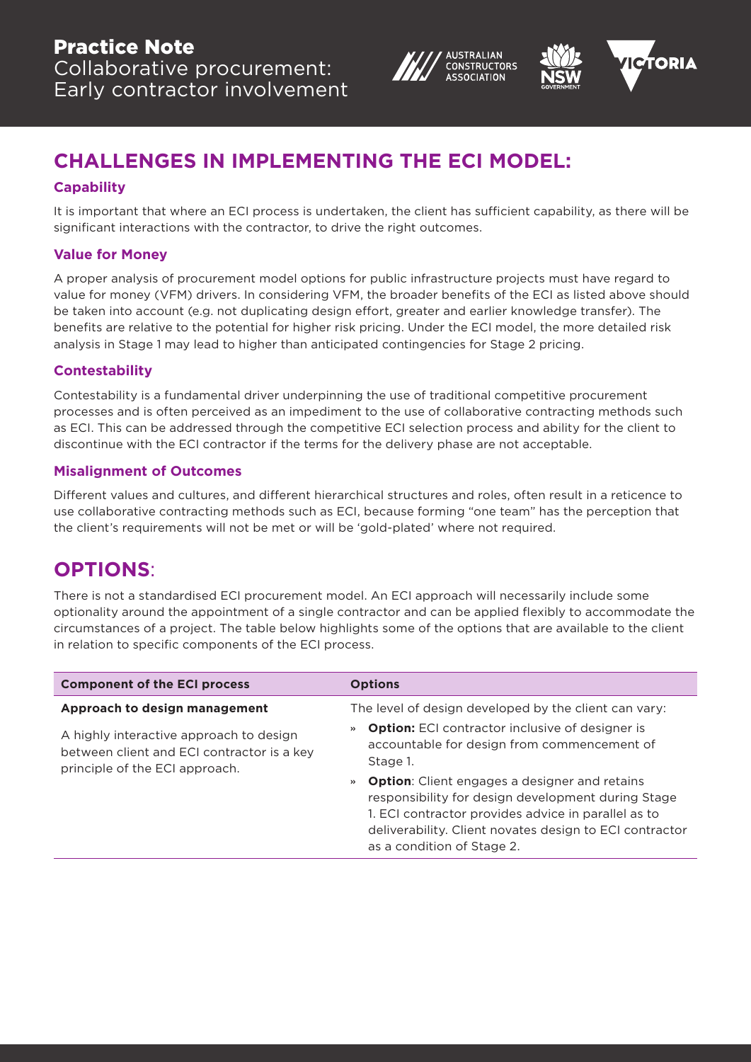



# **CHALLENGES IN IMPLEMENTING THE ECI MODEL:**

#### **Capability**

It is important that where an ECI process is undertaken, the client has sufficient capability, as there will be significant interactions with the contractor, to drive the right outcomes.

#### **Value for Money**

A proper analysis of procurement model options for public infrastructure projects must have regard to value for money (VFM) drivers. In considering VFM, the broader benefits of the ECI as listed above should be taken into account (e.g. not duplicating design effort, greater and earlier knowledge transfer). The benefits are relative to the potential for higher risk pricing. Under the ECI model, the more detailed risk analysis in Stage 1 may lead to higher than anticipated contingencies for Stage 2 pricing.

#### **Contestability**

Contestability is a fundamental driver underpinning the use of traditional competitive procurement processes and is often perceived as an impediment to the use of collaborative contracting methods such as ECI. This can be addressed through the competitive ECI selection process and ability for the client to discontinue with the ECI contractor if the terms for the delivery phase are not acceptable.

#### **Misalignment of Outcomes**

Different values and cultures, and different hierarchical structures and roles, often result in a reticence to use collaborative contracting methods such as ECI, because forming "one team" has the perception that the client's requirements will not be met or will be 'gold-plated' where not required.

### **OPTIONS**:

There is not a standardised ECI procurement model. An ECI approach will necessarily include some optionality around the appointment of a single contractor and can be applied flexibly to accommodate the circumstances of a project. The table below highlights some of the options that are available to the client in relation to specific components of the ECI process.

| <b>Component of the ECI process</b>                                                                                     | <b>Options</b>                                                                                                                                                                                                                                                          |
|-------------------------------------------------------------------------------------------------------------------------|-------------------------------------------------------------------------------------------------------------------------------------------------------------------------------------------------------------------------------------------------------------------------|
| Approach to design management                                                                                           | The level of design developed by the client can vary:                                                                                                                                                                                                                   |
| A highly interactive approach to design<br>between client and ECI contractor is a key<br>principle of the ECI approach. | <b>Option:</b> ECI contractor inclusive of designer is<br>$\rightarrow$<br>accountable for design from commencement of<br>Stage 1.                                                                                                                                      |
|                                                                                                                         | <b>Option:</b> Client engages a designer and retains<br>$\rangle$<br>responsibility for design development during Stage<br>1. ECI contractor provides advice in parallel as to<br>deliverability. Client novates design to ECI contractor<br>as a condition of Stage 2. |